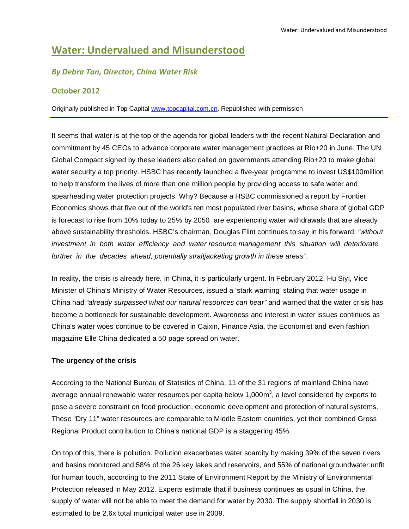# **Water: Undervalued and Misunderstood**

## *By Debra Tan, Director, China Water Risk*

## **October 2012**

Originally published in Top Ca[pital www.topcapital.com](http://www.topcapital.com.cn/).cn. Republished with permission

It seems that water is at the top of the agenda for global leaders with the recent Natural Declaration and commitment by 45 CEOs to advance corporate water management practices at Rio+20 in June. The UN Global Compact signed by these leaders also called on governments attending Rio+20 to make global water security a top priority. HSBC has recently launched a five-year programme to invest US\$100million to help transform the lives of more than one million people by providing access to safe water and spearheading water protection projects. Why? Because a HSBC commissioned a report by Frontier Economics shows that five out of the world's ten most populated river basins, whose share of global GDP is forecast to rise from 10% today to 25% by 2050 are experiencing water withdrawals that are already above sustainability thresholds. HSBC's chairman, Douglas Flint continues to say in his forward: *"without investment in both water efficiency and water resource management this situation will deteriorate further in the decades ahead, potentially straitjacketing growth in these areas"*.

In reality, the crisis is already here. In China, it is particularly urgent. In February 2012, Hu Siyi, Vice Minister of China's Ministry of Water Resources, issued a 'stark warning' stating that water usage in China had *"already surpassed what our natural resources can bear"* and warned that the water crisis has become a bottleneck for sustainable development. Awareness and interest in water issues continues as China's water woes continue to be covered in Caixin, Finance Asia, the Economist and even fashion magazine Elle China dedicated a 50 page spread on water.

## **The urgency of the crisis**

According to the National Bureau of Statistics of China, 11 of the 31 regions of mainland China have average annual renewable water resources per capita below 1,000 $m^3$ , a level considered by experts to pose a severe constraint on food production, economic development and protection of natural systems. These "Dry 11" water resources are comparable to Middle Eastern countries, yet their combined Gross Regional Product contribution to China's national GDP is a staggering 45%.

On top of this, there is pollution. Pollution exacerbates water scarcity by making 39% of the seven rivers and basins monitored and 58% of the 26 key lakes and reservoirs, and 55% of national groundwater unfit for human touch, according to the 2011 State of Environment Report by the Ministry of Environmental Protection released in May 2012. Experts estimate that if business continues as usual in China, the supply of water will not be able to meet the demand for water by 2030. The supply shortfall in 2030 is estimated to be 2.6x total municipal water use in 2009.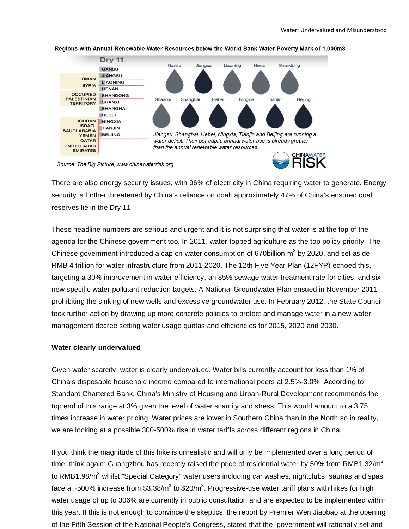

#### Regions with Annual Renewable Water Resources below the World Bank Water Poverty Mark of 1,000m3

Source: The Big Picture, www.chinawaterrisk.org

There are also energy security issues, with 96% of electricity in China requiring water to generate. Energy security is further threatened by China's reliance on coal: approximately 47% of China's ensured coal reserves lie in the Dry 11.

These headline numbers are serious and urgent and it is not surprising that water is at the top of the agenda for the Chinese government too. In 2011, water topped agriculture as the top policy priority. The Chinese government introduced a cap on water consumption of 670 billion  $m^3$  by 2020, and set aside RMB 4 trillion for water infrastructure from 2011-2020. The 12th Five Year Plan (12FYP) echoed this, targeting a 30% improvement in water efficiency, an 85% sewage water treatment rate for cities, and six new specific water pollutant reduction targets. A National Groundwater Plan ensued in November 2011 prohibiting the sinking of new wells and excessive groundwater use. In February 2012, the State Council took further action by drawing up more concrete policies to protect and manage water in a new water management decree setting water usage quotas and efficiencies for 2015, 2020 and 2030.

#### **Water clearly undervalued**

Given water scarcity, water is clearly undervalued. Water bills currently account for less than 1% of China's disposable household income compared to international peers at 2.5%-3.0%. According to Standard Chartered Bank, China's Ministry of Housing and Urban-Rural Development recommends the top end of this range at 3% given the level of water scarcity and stress. This would amount to a 3.75 times increase in water pricing. Water prices are lower in Southern China than in the North so in reality, we are looking at a possible 300-500% rise in water tariffs across different regions in China.

If you think the magnitude of this hike is unrealistic and will only be implemented over a long period of time, think again: Guangzhou has recently raised the price of residential water by 50% from RMB1.32/m<sup>3</sup> to RMB1.98/m<sup>3</sup> whilst "Special Category" water users including car washes, nightclubs, saunas and spas face a ~500% increase from \$3.38/m $^3$  to \$20/m $^3$ . Progressive-use water tariff plans with hikes for high water usage of up to 306% are currently in public consultation and are expected to be implemented within this year. If this is not enough to convince the skeptics, the report by Premier Wen Jiaobao at the opening of the Fifth Session of the National People's Congress, stated that the government will rationally set and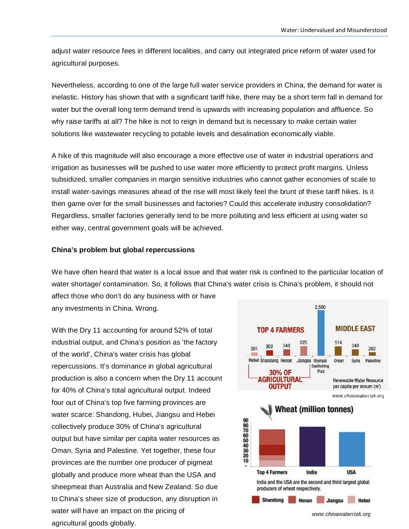adjust water resource fees in different localities, and carry out integrated price reform of water used for agricultural purposes.

Nevertheless, according to one of the large full water service providers in China, the demand for water is inelastic. History has shown that with a significant tariff hike, there may be a short term fall in demand for water but the overall long term demand trend is upwards with increasing population and affluence. So why raise tariffs at all? The hike is not to reign in demand but is necessary to make certain water solutions like wastewater recycling to potable levels and desalination economically viable.

A hike of this magnitude will also encourage a more effective use of water in industrial operations and irrigation as businesses will be pushed to use water more efficiently to protect profit margins. Unless subsidized, smaller companies in margin sensitive industries who cannot gather economies of scale to install water-savings measures ahead of the rise will most likely feel the brunt of these tariff hikes. Is it then game over for the small businesses and factories? Could this accelerate industry consolidation? Regardless, smaller factories generally tend to be more polluting and less efficient at using water so either way, central government goals will be achieved.

#### **China's problem but global repercussions**

We have often heard that water is a local issue and that water risk is confined to the particular location of water shortage/ contamination. So, it follows that China's water crisis is China's problem, it should not

affect those who don't do any business with or have any investments in China. Wrong.

With the Dry 11 accounting for around 52% of total industrial output, and China's position as 'the factory of the world', China's water crisis has global repercussions. It's dominance in global agricultural production is also a concern when the Dry 11 account for 40% of China's total agricultural output. Indeed four out of China's top five farming provinces are water scarce: Shandong, Hubei, Jiangsu and Hebei collectively produce 30% of China's agricultural output but have similar per capita water resources as Oman, Syria and Palestine. Yet together, these four provinces are the number one producer of pigmeat globally and produce more wheat than the USA and sheepmeat than Australia and New Zealand. So due to China's sheer size of production, any disruption in water will have an impact on the pricing of agricultural goods globally.

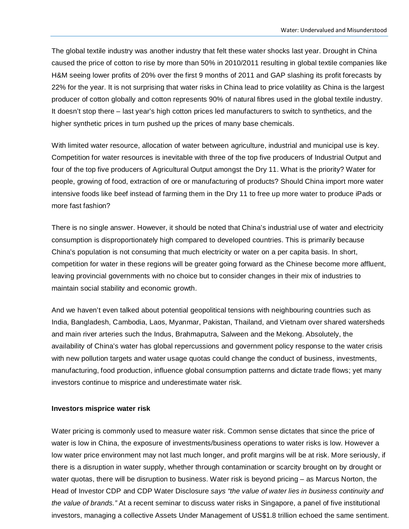The global textile industry was another industry that felt these water shocks last year. Drought in China caused the price of cotton to rise by more than 50% in 2010/2011 resulting in global textile companies like H&M seeing lower profits of 20% over the first 9 months of 2011 and GAP slashing its profit forecasts by 22% for the year. It is not surprising that water risks in China lead to price volatility as China is the largest producer of cotton globally and cotton represents 90% of natural fibres used in the global textile industry. It doesn't stop there – last year's high cotton prices led manufacturers to switch to synthetics, and the higher synthetic prices in turn pushed up the prices of many base chemicals.

With limited water resource, allocation of water between agriculture, industrial and municipal use is key. Competition for water resources is inevitable with three of the top five producers of Industrial Output and four of the top five producers of Agricultural Output amongst the Dry 11. What is the priority? Water for people, growing of food, extraction of ore or manufacturing of products? Should China import more water intensive foods like beef instead of farming them in the Dry 11 to free up more water to produce iPads or more fast fashion?

There is no single answer. However, it should be noted that China's industrial use of water and electricity consumption is disproportionately high compared to developed countries. This is primarily because China's population is not consuming that much electricity or water on a per capita basis. In short, competition for water in these regions will be greater going forward as the Chinese become more affluent, leaving provincial governments with no choice but to consider changes in their mix of industries to maintain social stability and economic growth.

And we haven't even talked about potential geopolitical tensions with neighbouring countries such as India, Bangladesh, Cambodia, Laos, Myanmar, Pakistan, Thailand, and Vietnam over shared watersheds and main river arteries such the Indus, Brahmaputra, Salween and the Mekong. Absolutely, the availability of China's water has global repercussions and government policy response to the water crisis with new pollution targets and water usage quotas could change the conduct of business, investments, manufacturing, food production, influence global consumption patterns and dictate trade flows; yet many investors continue to misprice and underestimate water risk.

#### **Investors misprice water risk**

Water pricing is commonly used to measure water risk. Common sense dictates that since the price of water is low in China, the exposure of investments/business operations to water risks is low. However a low water price environment may not last much longer, and profit margins will be at risk. More seriously, if there is a disruption in water supply, whether through contamination or scarcity brought on by drought or water quotas, there will be disruption to business. Water risk is beyond pricing – as Marcus Norton, the Head of Investor CDP and CDP Water Disclosure *says "the value of water lies in business continuity and the value of brands."* At a recent seminar to discuss water risks in Singapore, a panel of five institutional investors, managing a collective Assets Under Management of US\$1.8 trillion echoed the same sentiment.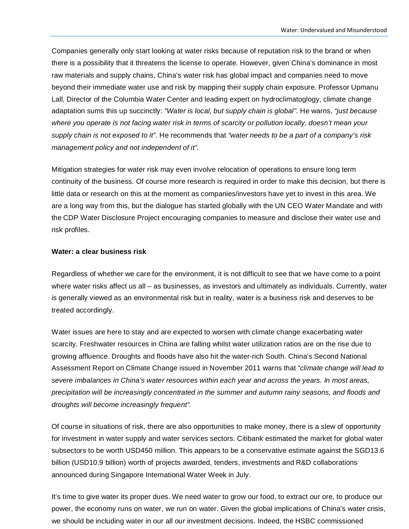Companies generally only start looking at water risks because of reputation risk to the brand or when there is a possibility that it threatens the license to operate. However, given China's dominance in most raw materials and supply chains, China's water risk has global impact and companies need to move beyond their immediate water use and risk by mapping their supply chain exposure. Professor Upmanu Lall, Director of the Columbia Water Center and leading expert on hydroclimatoglogy, climate change adaptation sums this up succinctly: *"Water is local, but supply chain is global".* He warns, *"just because where you operate is not facing water risk in terms of scarcity or pollution locally, doesn't mean your supply chain is not exposed to it"*. He recommends that *"water needs to be a part of a company's risk management policy and not independent of it".*

Mitigation strategies for water risk may even involve relocation of operations to ensure long term continuity of the business. Of course more research is required in order to make this decision, but there is little data or research on this at the moment as companies/investors have yet to invest in this area. We are a long way from this, but the dialogue has started globally with the UN CEO Water Mandate and with the CDP Water Disclosure Project encouraging companies to measure and disclose their water use and risk profiles.

### **Water: a clear business risk**

Regardless of whether we care for the environment, it is not difficult to see that we have come to a point where water risks affect us all – as businesses, as investors and ultimately as individuals. Currently, water is generally viewed as an environmental risk but in reality, water is a business risk and deserves to be treated accordingly.

Water issues are here to stay and are expected to worsen with climate change exacerbating water scarcity. Freshwater resources in China are falling whilst water utilization ratios are on the rise due to growing affluence. Droughts and floods have also hit the water-rich South. China's Second National Assessment Report on Climate Change issued in November 2011 warns that "*climate change will lead to severe imbalances in China's water resources within each year and across the years. In most areas, precipitation will be increasingly concentrated in the summer and autumn rainy seasons, and floods and droughts will become increasingly frequent".*

Of course in situations of risk, there are also opportunities to make money, there is a slew of opportunity for investment in water supply and water services sectors. Citibank estimated the market for global water subsectors to be worth USD450 million. This appears to be a conservative estimate against the SGD13.6 billion (USD10.9 billion) worth of projects awarded, tenders, investments and R&D collaborations announced during Singapore International Water Week in July.

It's time to give water its proper dues. We need water to grow our food, to extract our ore, to produce our power, the economy runs on water, we run on water. Given the global implications of China's water crisis, we should be including water in our all our investment decisions. Indeed, the HSBC commissioned